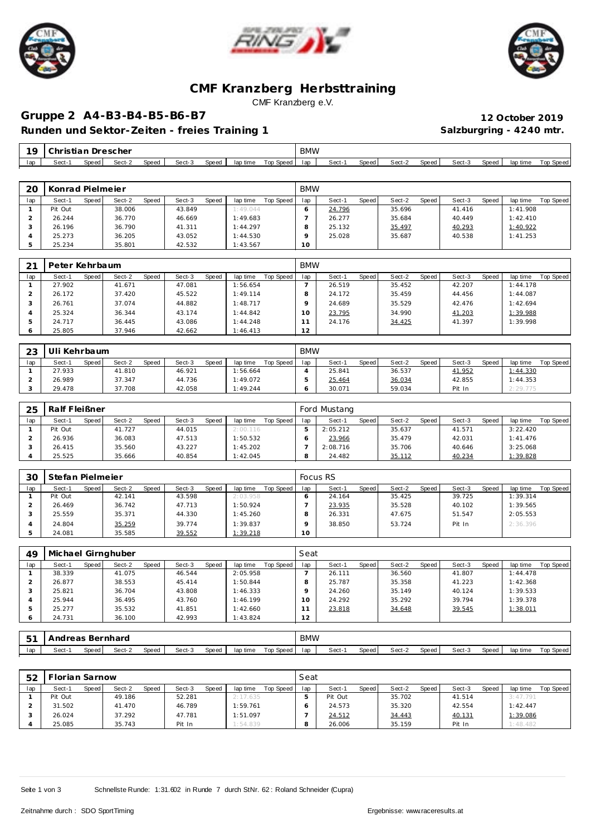





## **CMF Kranzberg Herbsttraining** CMF Kranzberg e.V.

# **Gruppe 2 A4-B3-B4-B5-B6-B7 12 October 2019**

Runden und Sektor-Zeiten - freies Training 1 **Salzburgring - 4240 mtr.** 

| 1 <sup>C</sup> | ∴hristian i | ◡     | Drescher |       |        |       |          |           | <b>BMW</b> |        |       |        |       |        |       |          |           |
|----------------|-------------|-------|----------|-------|--------|-------|----------|-----------|------------|--------|-------|--------|-------|--------|-------|----------|-----------|
| lap            | Sect-       | Speed | Sect-2   | Speed | Sect-3 | Speed | lap time | Top Speed | lap        | Sect-1 | Speed | Sect-2 | Speed | Sect-3 | Speed | lap time | Top Speed |

| 20  | Konrad Pielmeier |         |        |       |        |       |          |           | <b>BMW</b> |        |       |        |       |        |              |          |           |
|-----|------------------|---------|--------|-------|--------|-------|----------|-----------|------------|--------|-------|--------|-------|--------|--------------|----------|-----------|
| lap | Sect-1           | Speed I | Sect-2 | Speed | Sect-3 | Speed | lap time | Top Speed | lap        | Sect-1 | Speed | Sect-2 | Speed | Sect-3 | <b>Speed</b> | lap time | Top Speed |
|     | Pit Out          |         | 38.006 |       | 43.849 |       | 1:49.044 |           |            | 24.796 |       | 35.696 |       | 41.416 |              | 1:41.908 |           |
|     | 26.244           |         | 36.770 |       | 46.669 |       | 1:49.683 |           |            | 26.277 |       | 35.684 |       | 40.449 |              | 1:42.410 |           |
|     | 26.196           |         | 36.790 |       | 41.311 |       | 1:44.297 |           |            | 25.132 |       | 35.497 |       | 40.293 |              | 1:40.922 |           |
|     | 25.273           |         | 36.205 |       | 43.052 |       | 1:44.530 |           |            | 25.028 |       | 35.687 |       | 40.538 |              | 1:41.253 |           |
|     | 25.234           |         | 35.801 |       | 42.532 |       | 1:43.567 |           | 10         |        |       |        |       |        |              |          |           |

| 21           | Peter Kehrbaum |       |        |       |        |       |          |           | <b>BMW</b>      |        |       |        |       |        |       |          |           |
|--------------|----------------|-------|--------|-------|--------|-------|----------|-----------|-----------------|--------|-------|--------|-------|--------|-------|----------|-----------|
| lap          | Sect-1         | Speed | Sect-2 | Speed | Sect-3 | Speed | lap time | Top Speed | lap             | Sect-1 | Speed | Sect-2 | Speed | Sect-3 | Speed | lap time | Top Speed |
|              | 27.902         |       | 41.671 |       | 47.081 |       | 1:56.654 |           |                 | 26.519 |       | 35.452 |       | 42.207 |       | 1:44.178 |           |
|              | 26.172         |       | 37.420 |       | 45.522 |       | 1:49.114 |           |                 | 24.172 |       | 35.459 |       | 44.456 |       | 1:44.087 |           |
|              | 26.761         |       | 37.074 |       | 44.882 |       | 1:48.717 |           | $\circ$         | 24.689 |       | 35.529 |       | 42.476 |       | 1:42.694 |           |
|              | 25.324         |       | 36.344 |       | 43.174 |       | 1:44.842 |           | 10 <sup>°</sup> | 23.795 |       | 34.990 |       | 41.203 |       | 1:39.988 |           |
|              | 24.717         |       | 36.445 |       | 43.086 |       | 1:44.248 |           |                 | 24.176 |       | 34.425 |       | 41.397 |       | 1:39.998 |           |
| <sub>6</sub> | 25.805         |       | 37.946 |       | 42.662 |       | 1:46.413 |           | 12              |        |       |        |       |        |       |          |           |

| ົດລ | IIi Kehrbaum |       |        |       |        |       |          |           | <b>BMW</b> |        |       |        |              |        |       |          |           |
|-----|--------------|-------|--------|-------|--------|-------|----------|-----------|------------|--------|-------|--------|--------------|--------|-------|----------|-----------|
| lap | Sect-1       | Speed | Sect-2 | Speed | Sect-3 | Speed | lap time | Top Speed | lap        | Sect-1 | Speed | Sect-2 | <b>Speed</b> | Sect-3 | Speed | lap time | Top Speed |
|     | 27.933       |       | 41.810 |       | 46.921 |       | :56.664  |           |            | 25.841 |       | 36.537 |              | 41.952 |       | 1:44.330 |           |
|     | 26.989       |       | 37.347 |       | 44.736 |       | 1:49.072 |           |            | 25.464 |       | 36.034 |              | 42.855 |       | 1:44.353 |           |
|     | 29.478       |       | 37.708 |       | 42.058 |       | 1:49.244 |           |            | 30.071 |       | 59.034 |              | Pit In |       | 2:29.775 |           |

| 25  | Ralf Fleißner |       |        |              |        |              |          |           |     | Ford Mustang |       |        |       |        |              |          |           |
|-----|---------------|-------|--------|--------------|--------|--------------|----------|-----------|-----|--------------|-------|--------|-------|--------|--------------|----------|-----------|
| lap | Sect-1        | Speed | Sect-2 | <b>Speed</b> | Sect-3 | <b>Speed</b> | lap time | Top Speed | lap | Sect-1       | Speed | Sect-2 | Speed | Sect-3 | <b>Speed</b> | lap time | Top Speed |
|     | Pit Out       |       | 41.727 |              | 44.015 |              | 2:00.116 |           |     | 2:05.212     |       | 35.637 |       | 41.571 |              | 3:22.420 |           |
|     | 26.936        |       | 36.083 |              | 47.513 |              | 1:50.532 |           |     | 23.966       |       | 35.479 |       | 42.031 |              | 1:41.476 |           |
|     | 26.415        |       | 35.560 |              | 43.227 |              | 1:45.202 |           |     | 2:08.716     |       | 35.706 |       | 40.646 |              | 3:25.068 |           |
|     | 25.525        |       | 35.666 |              | 40.854 |              | 1:42.045 |           |     | 24.482       |       | 35.112 |       | 40.234 |              | 1:39.828 |           |

| 30  | Stefan Pielmeier |       |        |       |        |       |          |           |     | <b>Focus RS</b> |       |        |       |        |       |          |           |
|-----|------------------|-------|--------|-------|--------|-------|----------|-----------|-----|-----------------|-------|--------|-------|--------|-------|----------|-----------|
| lap | Sect-1           | Speed | Sect-2 | Speed | Sect-3 | Speed | lap time | Top Speed | lap | Sect-1          | Speed | Sect-2 | Speed | Sect-3 | Speed | lap time | Top Speed |
|     | Pit Out          |       | 42.141 |       | 43.598 |       | 2:03.958 |           |     | 24.164          |       | 35.425 |       | 39.725 |       | 1:39.314 |           |
|     | 26.469           |       | 36.742 |       | 47.713 |       | 1:50.924 |           |     | 23.935          |       | 35.528 |       | 40.102 |       | 1:39.565 |           |
|     | 25.559           |       | 35.371 |       | 44.330 |       | 1:45.260 |           |     | 26.331          |       | 47.675 |       | 51.547 |       | 2:05.553 |           |
|     | 24.804           |       | 35.259 |       | 39.774 |       | 1:39.837 |           |     | 38.850          |       | 53.724 |       | Pit In |       | 2:36.396 |           |
|     | 24.081           |       | 35.585 |       | 39.552 |       | 1:39.218 |           | 10  |                 |       |        |       |        |       |          |           |

| 49      | Michael Girnghuber |       |        |       |        |       |          |           | Seat |        |       |        |       |        |       |          |           |
|---------|--------------------|-------|--------|-------|--------|-------|----------|-----------|------|--------|-------|--------|-------|--------|-------|----------|-----------|
| lap     | Sect-1             | Speed | Sect-2 | Speed | Sect-3 | Speed | lap time | Top Speed | lap  | Sect-1 | Speed | Sect-2 | Speed | Sect-3 | Speed | lap time | Top Speed |
|         | 38.339             |       | 41.075 |       | 46.544 |       | 2:05.958 |           |      | 26.111 |       | 36.560 |       | 41.807 |       | 1:44.478 |           |
|         | 26.877             |       | 38.553 |       | 45.414 |       | 1:50.844 |           |      | 25.787 |       | 35.358 |       | 41.223 |       | 1:42.368 |           |
| $\cdot$ | 25.821             |       | 36.704 |       | 43.808 |       | 1:46.333 |           |      | 24.260 |       | 35.149 |       | 40.124 |       | 1:39.533 |           |
|         | 25.944             |       | 36.495 |       | 43.760 |       | 1:46.199 |           | 10   | 24.292 |       | 35.292 |       | 39.794 |       | 1:39.378 |           |
| b.      | 25.277             |       | 35.532 |       | 41.851 |       | 1:42.660 |           |      | 23.818 |       | 34.648 |       | 39.545 |       | 1:38.011 |           |
| $\circ$ | 24.731             |       | 36.100 |       | 42.993 |       | 1:43.824 |           | 12   |        |       |        |       |        |       |          |           |

| 一口づ | l Andreas Bernhard |       |        |       |        |       |          |           | <b>BMW</b> |        |       |        |       |        |       |          |                  |
|-----|--------------------|-------|--------|-------|--------|-------|----------|-----------|------------|--------|-------|--------|-------|--------|-------|----------|------------------|
| lap | Sect-1             | Speed | Sect-2 | Speed | Sect-3 | Speed | lap time | Top Speed | lap        | Sect-1 | Speed | Sect-2 | Speed | Sect-3 | Speed | lap time | <b>Top Speed</b> |

| 52  | Florian Sarnow |       |        |              |        |       |          |           | Seat |         |       |        |       |        |              |          |           |
|-----|----------------|-------|--------|--------------|--------|-------|----------|-----------|------|---------|-------|--------|-------|--------|--------------|----------|-----------|
| lap | Sect-1         | Speed | Sect-2 | <b>Speed</b> | Sect-3 | Speed | lap time | Top Speed | lap  | Sect-1  | Speed | Sect-2 | Speed | Sect-3 | <b>Speed</b> | lap time | Top Speed |
|     | Pit Out        |       | 49.186 |              | 52.281 |       | 2:17.635 |           |      | Pit Out |       | 35.702 |       | 41.514 |              | 3:47.791 |           |
|     | 31.502         |       | 41.470 |              | 46.789 |       | 1:59.761 |           |      | 24.573  |       | 35.320 |       | 42.554 |              | 1:42.447 |           |
|     | 26.024         |       | 37.292 |              | 47.781 |       | 1:51.097 |           |      | 24.512  |       | 34.443 |       | 40.131 |              | 1:39.086 |           |
|     | 25.085         |       | 35.743 |              | Pit In |       | 1:54.839 |           | 8    | 26.006  |       | 35.159 |       | Pit In |              | 1:48.482 |           |

Seite 1 von 3 Schnellste Runde: 1:31.602 in Runde 7 durch StNr. 62: Roland Schneider (Cupra)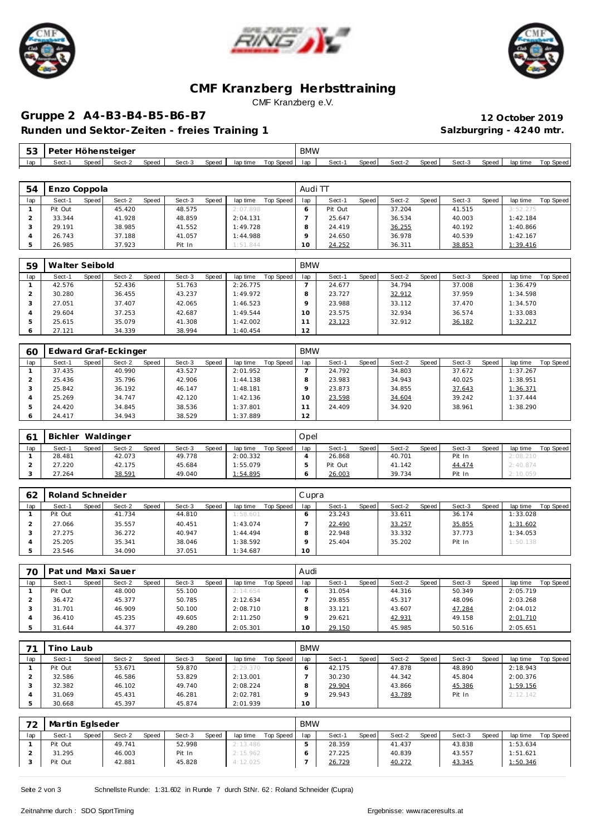





## **CMF Kranzberg Herbsttraining** CMF Kranzberg e.V.

# **Gruppe 2 A4-B3-B4-B5-B6-B7 12 October 2019**

Runden und Sektor-Zeiten - freies Training 1 **Salzburgring - 4240 mtr.** 

| ں ب | Peter Höhensteiger |              |        |       |        |       |          |           | <b>BMW</b> |        |       |        |        |        |       |          |           |
|-----|--------------------|--------------|--------|-------|--------|-------|----------|-----------|------------|--------|-------|--------|--------|--------|-------|----------|-----------|
| lap | Sect-              | <b>Speed</b> | Sect-2 | Speed | Sect-3 | Speed | lap time | Top Speed | lap        | Sect-1 | Speed | Sect-2 | Speed. | Sect-3 | Speed | lap time | Top Speed |

| 54  | Enzo Coppola |       |        |       |        |       |          |           | Audi TT |         |              |        |       |        |       |          |           |
|-----|--------------|-------|--------|-------|--------|-------|----------|-----------|---------|---------|--------------|--------|-------|--------|-------|----------|-----------|
| lap | Sect-1       | Speed | Sect-2 | Speed | Sect-3 | Speed | lap time | Top Speed | lap     | Sect-1  | <b>Speed</b> | Sect-2 | Speed | Sect-3 | Speed | lap time | Top Speed |
|     | Pit Out      |       | 45.420 |       | 48.575 |       | 2:07.898 |           |         | Pit Out |              | 37.204 |       | 41.515 |       | 3:52.275 |           |
|     | 33.344       |       | 41.928 |       | 48.859 |       | 2:04.131 |           |         | 25.647  |              | 36.534 |       | 40.003 |       | 1:42.184 |           |
|     | 29.191       |       | 38.985 |       | 41.552 |       | 1:49.728 |           |         | 24.419  |              | 36.255 |       | 40.192 |       | 1:40.866 |           |
|     | 26.743       |       | 37.188 |       | 41.057 |       | 1:44.988 |           |         | 24.650  |              | 36.978 |       | 40.539 |       | 1:42.167 |           |
|     | 26.985       |       | 37.923 |       | Pit In |       | 1:51.844 |           | 10      | 24.252  |              | 36.311 |       | 38.853 |       | 1:39.416 |           |

| 59  | Walter Seibold |       |        |       |        |       |          |           | <b>BMW</b>      |        |       |        |       |        |       |          |           |
|-----|----------------|-------|--------|-------|--------|-------|----------|-----------|-----------------|--------|-------|--------|-------|--------|-------|----------|-----------|
| lap | Sect-1         | Speed | Sect-2 | Speed | Sect-3 | Speed | lap time | Top Speed | lap             | Sect-1 | Speed | Sect-2 | Speed | Sect-3 | Speed | lap time | Top Speed |
|     | 42.576         |       | 52.436 |       | 51.763 |       | 2:26.775 |           |                 | 24.677 |       | 34.794 |       | 37.008 |       | 1:36.479 |           |
|     | 30.280         |       | 36.455 |       | 43.237 |       | 1:49.972 |           |                 | 23.727 |       | 32.912 |       | 37.959 |       | 1:34.598 |           |
|     | 27.051         |       | 37.407 |       | 42.065 |       | 1:46.523 |           |                 | 23.988 |       | 33.112 |       | 37.470 |       | 1:34.570 |           |
|     | 29.604         |       | 37.253 |       | 42.687 |       | 1:49.544 |           | 10 <sup>°</sup> | 23.575 |       | 32.934 |       | 36.574 |       | 1:33.083 |           |
|     | 25.615         |       | 35.079 |       | 41.308 |       | 1:42.002 |           |                 | 23.123 |       | 32.912 |       | 36.182 |       | 1:32.217 |           |
|     | 27.121         |       | 34.339 |       | 38.994 |       | 1:40.454 |           | 12              |        |       |        |       |        |       |          |           |

| 60  |        |       | Edward Graf-Eckinger |       |        |       |          |           | <b>BMW</b> |        |       |        |       |        |       |          |           |
|-----|--------|-------|----------------------|-------|--------|-------|----------|-----------|------------|--------|-------|--------|-------|--------|-------|----------|-----------|
| lap | Sect-1 | Speed | Sect-2               | Speed | Sect-3 | Speed | lap time | Top Speed | lap        | Sect-1 | Speed | Sect-2 | Speed | Sect-3 | Speed | lap time | Top Speed |
|     | 37.435 |       | 40.990               |       | 43.527 |       | 2:01.952 |           |            | 24.792 |       | 34.803 |       | 37.672 |       | 1:37.267 |           |
|     | 25.436 |       | 35.796               |       | 42.906 |       | 1:44.138 |           |            | 23.983 |       | 34.943 |       | 40.025 |       | 1:38.951 |           |
|     | 25.842 |       | 36.192               |       | 46.147 |       | 1:48.181 |           |            | 23.873 |       | 34.855 |       | 37.643 |       | 1:36.371 |           |
|     | 25.269 |       | 34.747               |       | 42.120 |       | 1:42.136 |           | O          | 23.598 |       | 34.604 |       | 39.242 |       | 1:37.444 |           |
|     | 24.420 |       | 34.845               |       | 38.536 |       | 1:37.801 |           |            | 24.409 |       | 34.920 |       | 38.961 |       | 1:38.290 |           |
|     | 24.417 |       | 34.943               |       | 38.529 |       | 1:37.889 |           | 12         |        |       |        |       |        |       |          |           |

|     | <b>Bichler</b> |       | Waldinger |       |        |       |          |           | Opel |         |       |        |       |        |              |          |           |
|-----|----------------|-------|-----------|-------|--------|-------|----------|-----------|------|---------|-------|--------|-------|--------|--------------|----------|-----------|
| lap | Sect-1         | Speed | Sect-2    | Speed | Sect-3 | Speed | lap time | Top Speed | lap  | Sect-   | Speed | Sect-2 | Speed | Sect-3 | <b>Speed</b> | lap time | Top Speed |
|     | 28.481         |       | 42.073    |       | 49.778 |       | 2:00.332 |           |      | 26.868  |       | 40.701 |       | Pit In |              | 2:08.210 |           |
|     | 27.220         |       | 42.175    |       | 45.684 |       | : 55.079 |           |      | Pit Out |       | 41.142 |       | 44.474 |              | 2:40.874 |           |
|     | 27.264         |       | 38.591    |       | 49.040 |       | : 54.895 |           |      | 26.003  |       | 39.734 |       | Pit In |              | 2:10.059 |           |

| 62  | Roland Schneider |       |        |       |        |       |          |           | Cupra |        |       |        |       |        |       |          |                  |
|-----|------------------|-------|--------|-------|--------|-------|----------|-----------|-------|--------|-------|--------|-------|--------|-------|----------|------------------|
| lap | Sect-1           | Speed | Sect-2 | Speed | Sect-3 | Speed | lap time | Top Speed | lap   | Sect-1 | Speed | Sect-2 | Speed | Sect-3 | Speed | lap time | <b>Top Speed</b> |
|     | Pit Out          |       | 41.734 |       | 44.810 |       | 1:58.601 |           |       | 23.243 |       | 33.611 |       | 36.174 |       | 1:33.028 |                  |
|     | 27.066           |       | 35.557 |       | 40.451 |       | 1:43.074 |           |       | 22.490 |       | 33.257 |       | 35.855 |       | 1:31.602 |                  |
|     | 27.275           |       | 36.272 |       | 40.947 |       | 1:44.494 |           |       | 22.948 |       | 33.332 |       | 37.773 |       | 1:34.053 |                  |
|     | 25.205           |       | 35.341 |       | 38.046 |       | 1:38.592 |           |       | 25.404 |       | 35.202 |       | Pit In |       | 1:50.138 |                  |
|     | 23.546           |       | 34.090 |       | 37.051 |       | 1:34.687 |           | 10    |        |       |        |       |        |       |          |                  |

| 70  | Pat und Maxi Sauer |       |        |       |        |       |          |           | Audi |        |       |        |       |        |              |          |           |
|-----|--------------------|-------|--------|-------|--------|-------|----------|-----------|------|--------|-------|--------|-------|--------|--------------|----------|-----------|
| lap | Sect-1             | Speed | Sect-2 | Speed | Sect-3 | Speed | lap time | Top Speed | lap  | Sect-1 | Speed | Sect-2 | Speed | Sect-3 | <b>Speed</b> | lap time | Top Speed |
|     | Pit Out            |       | 48.000 |       | 55.100 |       | 2:14.654 |           |      | 31.054 |       | 44.316 |       | 50.349 |              | 2:05.719 |           |
|     | 36.472             |       | 45.377 |       | 50.785 |       | 2:12.634 |           |      | 29.855 |       | 45.317 |       | 48.096 |              | 2:03.268 |           |
|     | 31.701             |       | 46.909 |       | 50.100 |       | 2:08.710 |           |      | 33.121 |       | 43.607 |       | 47.284 |              | 2:04.012 |           |
|     | 36.410             |       | 45.235 |       | 49.605 |       | 2:11.250 |           |      | 29.621 |       | 42.931 |       | 49.158 |              | 2:01.710 |           |
|     | 31.644             |       | 44.377 |       | 49.280 |       | 2:05.301 |           | 10   | 29.150 |       | 45.985 |       | 50.516 |              | 2:05.651 |           |

|     | ino Laubi |       |        |       |        |       |          |           | <b>BMW</b> |        |       |        |       |        |       |          |           |
|-----|-----------|-------|--------|-------|--------|-------|----------|-----------|------------|--------|-------|--------|-------|--------|-------|----------|-----------|
| lap | Sect-1    | Speed | Sect-2 | Speed | Sect-3 | Speed | lap time | Top Speed | lap        | Sect-1 | Speed | Sect-2 | Speed | Sect-3 | Speed | lap time | Top Speed |
|     | Pit Out   |       | 53.671 |       | 59.870 |       | 2:29.370 |           |            | 42.175 |       | 47.878 |       | 48.890 |       | 2:18.943 |           |
|     | 32.586    |       | 46.586 |       | 53.829 |       | 2:13.001 |           |            | 30.230 |       | 44.342 |       | 45.804 |       | 2:00.376 |           |
|     | 32.382    |       | 46.102 |       | 49.740 |       | 2:08.224 |           |            | 29.904 |       | 43.866 |       | 45.386 |       | 1:59.156 |           |
|     | 31.069    |       | 45.431 |       | 46.281 |       | 2:02.781 |           |            | 29.943 |       | 43.789 |       | Pit In |       | 2:12.142 |           |
|     | 30.668    |       | 45.397 |       | 45.874 |       | 2:01.939 |           | 10         |        |       |        |       |        |       |          |           |

| 72  | Martin Eglseder |       |        |              |        |       |          |           | <b>BMW</b> |        |       |        |       |        |       |                 |           |
|-----|-----------------|-------|--------|--------------|--------|-------|----------|-----------|------------|--------|-------|--------|-------|--------|-------|-----------------|-----------|
| lap | Sect-1          | Speed | Sect-2 | <b>Speed</b> | Sect-3 | Speed | lap time | Top Speed | lap        | Sect-1 | Speed | Sect-2 | Speed | Sect-3 | Speed | lap time        | Top Speed |
|     | Pit Out         |       | 49.741 |              | 52.998 |       | 2:13.486 |           |            | 28.359 |       | 41.437 |       | 43.838 |       | : 53.634        |           |
|     | 31.295          |       | 46.003 |              | Pit In |       | 2:15.962 |           |            | 27.225 |       | 40.839 |       | 43.557 |       | 1:51.621        |           |
|     | Pit Out         |       | 42.881 |              | 45.828 |       | 4:12.025 |           |            | 26.729 |       | 40.272 |       | 43.345 |       | <u>1:50.346</u> |           |

Seite 2 von 3 Schnellste Runde: 1:31.602 in Runde 7 durch StNr. 62: Roland Schneider (Cupra)